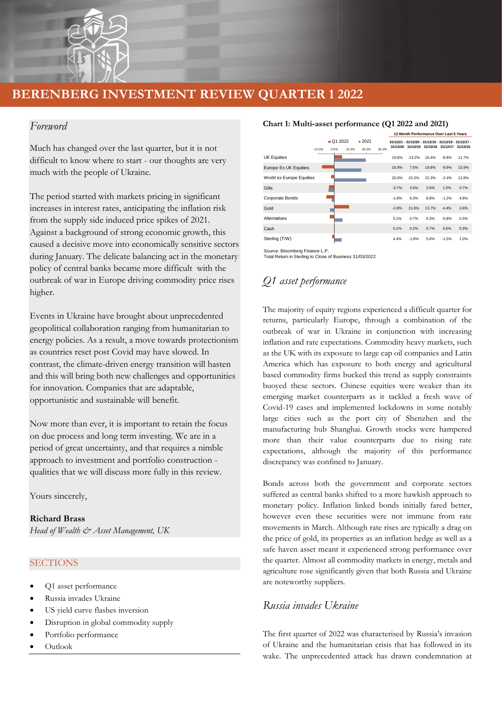

## *Foreword*

Much has changed over the last quarter, but it is not difficult to know where to start - our thoughts are very much with the people of Ukraine.

The period started with markets pricing in significant increases in interest rates, anticipating the inflation risk from the supply side induced price spikes of 2021. Against a background of strong economic growth, this caused a decisive move into economically sensitive sectors during January. The delicate balancing act in the monetary policy of central banks became more difficult with the outbreak of war in Europe driving commodity price rises higher.

Events in Ukraine have brought about unprecedented geopolitical collaboration ranging from humanitarian to energy policies. As a result, a move towards protectionism as countries reset post Covid may have slowed. In contrast, the climate-driven energy transition will hasten and this will bring both new challenges and opportunities for innovation. Companies that are adaptable, opportunistic and sustainable will benefit.

Now more than ever, it is important to retain the focus on due process and long term investing. We are in a period of great uncertainty, and that requires a nimble approach to investment and portfolio construction qualities that we will discuss more fully in this review.

Yours sincerely,

**Richard Brass**  *Head of Wealth & Asset Management, UK*

#### **SECTIONS**

- Q1 asset performance
- Russia invades Ukraine
- US yield curve flashes inversion
- Disruption in global commodity supply
- Portfolio performance
- Outlook

#### **Chart 1: Multi-asset performance (Q1 2022 and 2021)**

|                          |          |                 |       |                              |       |         | 12 Month Performance Over Last 5 Years       |       |         |                                                        |
|--------------------------|----------|-----------------|-------|------------------------------|-------|---------|----------------------------------------------|-------|---------|--------------------------------------------------------|
|                          | $-10.0%$ | Q1 2022<br>0.0% | 10.0% | $\blacksquare$ 2021<br>20.0% | 30.0% |         | 31/12/20 31/12/19 31/12/18 31/12/17 31/12/16 |       |         | 31/12/21 - 31/12/20 - 31/12/19 - 31/12/18 - 31/12/17 - |
| <b>UK Equities</b>       |          |                 |       |                              |       | 19.6%   | $-13.2%$                                     | 16.4% | $-8.8%$ | 11.7%                                                  |
| Europe Ex UK Equities    |          |                 |       |                              |       | 16.9%   | 7.6%                                         | 19.8% | $-9.9%$ | 15.9%                                                  |
| World ex Europe Equities |          |                 |       |                              |       | 20.0%   | 15.3%                                        | 22.3% | $-2.4%$ | 12.8%                                                  |
| Gilts                    |          |                 |       |                              |       | $-3.7%$ | 3.6%                                         | 2.6%  | 1.0%    | 0.7%                                                   |
| Corporate Bonds          |          |                 |       |                              |       | $-1.8%$ | 6.3%                                         | 8.8%  | $-1.2%$ | 4.8%                                                   |
| Gold                     |          |                 |       |                              |       | $-2.8%$ | 21.6%                                        | 13.7% | 4.4%    | 3.6%                                                   |
| <b>Alternatives</b>      |          |                 |       |                              |       | 5.1%    | 0.7%                                         | 6.3%  | $-5.8%$ | 5.5%                                                   |
| Cash                     |          |                 |       |                              |       | 0.1%    | 0.2%                                         | 0.7%  | 0.6%    | 0.3%                                                   |
| Sterling (T/W)           |          |                 |       |                              |       | 4.4%    | $-1.8%$                                      | 5.0%  | $-1.5%$ | 1.0%                                                   |

Source: Bloomberg Finance L.P. Total Return in Sterling to Close of Business 31/03/2022

## *Q1 asset performance*

The majority of equity regions experienced a difficult quarter for returns, particularly Europe, through a combination of the outbreak of war in Ukraine in conjunction with increasing inflation and rate expectations. Commodity heavy markets, such as the UK with its exposure to large cap oil companies and Latin America which has exposure to both energy and agricultural based commodity firms bucked this trend as supply constraints buoyed these sectors. Chinese equities were weaker than its emerging market counterparts as it tackled a fresh wave of Covid-19 cases and implemented lockdowns in some notably large cities such as the port city of Shenzhen and the manufacturing hub Shanghai. Growth stocks were hampered more than their value counterparts due to rising rate expectations, although the majority of this performance discrepancy was confined to January. We continue the main of the same of the same of the same of the same of the same of the same of the same of the same of the same of the same of the same of the same of the same of the same of the same of the same of the s

Bonds across both the government and corporate sectors suffered as central banks shifted to a more hawkish approach to monetary policy. Inflation linked bonds initially fared better, however even these securities were not immune from rate movements in March. Although rate rises are typically a drag on the price of gold, its properties as an inflation hedge as well as a safe haven asset meant it experienced strong performance over the quarter. Almost all commodity markets in energy, metals and agriculture rose significantly given that both Russia and Ukraine are noteworthy suppliers.

## *Russia invades Ukraine*

The first quarter of 2022 was characterised by Russia's invasion of Ukraine and the humanitarian crisis that has followed in its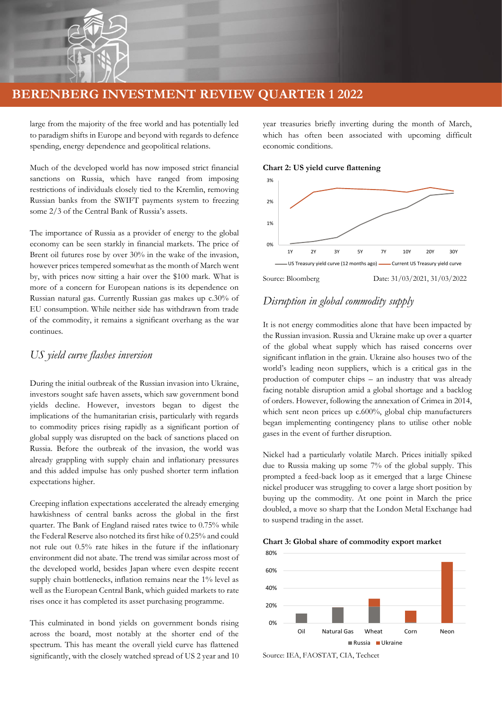

large from the majority of the free world and has potentially led to paradigm shifts in Europe and beyond with regards to defence spending, energy dependence and geopolitical relations.

Much of the developed world has now imposed strict financial sanctions on Russia, which have ranged from imposing restrictions of individuals closely tied to the Kremlin, removing Russian banks from the SWIFT payments system to freezing some 2/3 of the Central Bank of Russia's assets.

The importance of Russia as a provider of energy to the global economy can be seen starkly in financial markets. The price of Brent oil futures rose by over 30% in the wake of the invasion, however prices tempered somewhat as the month of March went by, with prices now sitting a hair over the \$100 mark. What is more of a concern for European nations is its dependence on Russian natural gas. Currently Russian gas makes up c.30% of EU consumption. While neither side has withdrawn from trade of the commodity, it remains a significant overhang as the war continues.

## *US yield curve flashes inversion*

During the initial outbreak of the Russian invasion into Ukraine, investors sought safe haven assets, which saw government bond yields decline. However, investors began to digest the implications of the humanitarian crisis, particularly with regards to commodity prices rising rapidly as a significant portion of global supply was disrupted on the back of sanctions placed on Russia. Before the outbreak of the invasion, the world was already grappling with supply chain and inflationary pressures and this added impulse has only pushed shorter term inflation expectations higher.

Creeping inflation expectations accelerated the already emerging hawkishness of central banks across the global in the first quarter. The Bank of England raised rates twice to 0.75% while the Federal Reserve also notched its first hike of 0.25% and could not rule out 0.5% rate hikes in the future if the inflationary environment did not abate. The trend was similar across most of the developed world, besides Japan where even despite recent supply chain bottlenecks, inflation remains near the 1% level as well as the European Central Bank, which guided markets to rate rises once it has completed its asset purchasing programme.

This culminated in bond yields on government bonds rising across the board, most notably at the shorter end of the spectrum. This has meant the overall yield curve has flattened significantly, with the closely watched spread of US 2 year and 10 year treasuries briefly inverting during the month of March, which has often been associated with upcoming difficult economic conditions.

**Chart 2: US yield curve flattening**



## *Disruption in global commodity supply*

It is not energy commodities alone that have been impacted by the Russian invasion. Russia and Ukraine make up over a quarter of the global wheat supply which has raised concerns over significant inflation in the grain. Ukraine also houses two of the world's leading neon suppliers, which is a critical gas in the production of computer chips – an industry that was already facing notable disruption amid a global shortage and a backlog of orders. However, following the annexation of Crimea in 2014, which sent neon prices up c.600%, global chip manufacturers began implementing contingency plans to utilise other noble gases in the event of further disruption.

Nickel had a particularly volatile March. Prices initially spiked due to Russia making up some 7% of the global supply. This prompted a feed-back loop as it emerged that a large Chinese nickel producer was struggling to cover a large short position by buying up the commodity. At one point in March the price doubled, a move so sharp that the London Metal Exchange had to suspend trading in the asset.





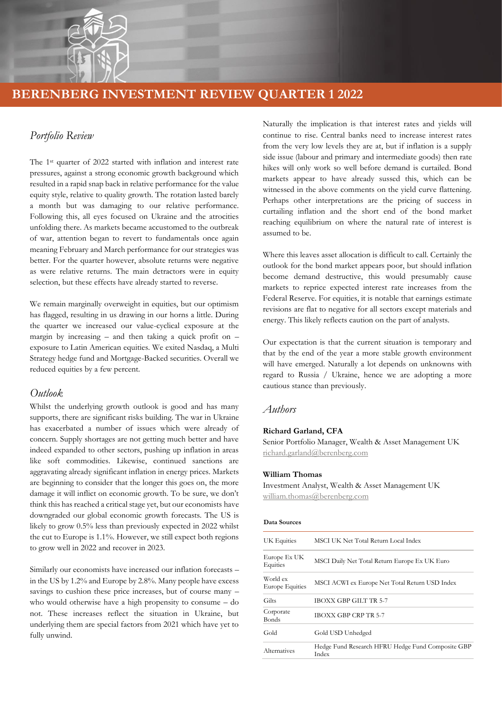

## *Portfolio Review*

The 1<sup>st</sup> quarter of 2022 started with inflation and interest rate pressures, against a strong economic growth background which resulted in a rapid snap back in relative performance for the value equity style, relative to quality growth. The rotation lasted barely a month but was damaging to our relative performance. Following this, all eyes focused on Ukraine and the atrocities unfolding there. As markets became accustomed to the outbreak of war, attention began to revert to fundamentals once again meaning February and March performance for our strategies was better. For the quarter however, absolute returns were negative as were relative returns. The main detractors were in equity selection, but these effects have already started to reverse.

We remain marginally overweight in equities, but our optimism has flagged, resulting in us drawing in our horns a little. During the quarter we increased our value-cyclical exposure at the margin by increasing  $-$  and then taking a quick profit on  $$ exposure to Latin American equities. We exited Nasdaq, a Multi Strategy hedge fund and Mortgage-Backed securities. Overall we reduced equities by a few percent.

### *Outlook*

Whilst the underlying growth outlook is good and has many supports, there are significant risks building. The war in Ukraine has exacerbated a number of issues which were already of concern. Supply shortages are not getting much better and have indeed expanded to other sectors, pushing up inflation in areas like soft commodities. Likewise, continued sanctions are aggravating already significant inflation in energy prices. Markets are beginning to consider that the longer this goes on, the more damage it will inflict on economic growth. To be sure, we don't think this has reached a critical stage yet, but our economists have downgraded our global economic growth forecasts. The US is likely to grow 0.5% less than previously expected in 2022 whilst the cut to Europe is 1.1%. However, we still expect both regions to grow well in 2022 and recover in 2023.

Similarly our economists have increased our inflation forecasts – in the US by 1.2% and Europe by 2.8%. Many people have excess savings to cushion these price increases, but of course many – who would otherwise have a high propensity to consume – do not. These increases reflect the situation in Ukraine, but underlying them are special factors from 2021 which have yet to fully unwind.

Naturally the implication is that interest rates and yields will continue to rise. Central banks need to increase interest rates from the very low levels they are at, but if inflation is a supply side issue (labour and primary and intermediate goods) then rate hikes will only work so well before demand is curtailed. Bond markets appear to have already sussed this, which can be witnessed in the above comments on the yield curve flattening. Perhaps other interpretations are the pricing of success in curtailing inflation and the short end of the bond market reaching equilibrium on where the natural rate of interest is assumed to be.

Where this leaves asset allocation is difficult to call. Certainly the outlook for the bond market appears poor, but should inflation become demand destructive, this would presumably cause markets to reprice expected interest rate increases from the Federal Reserve. For equities, it is notable that earnings estimate revisions are flat to negative for all sectors except materials and energy. This likely reflects caution on the part of analysts.

Our expectation is that the current situation is temporary and that by the end of the year a more stable growth environment will have emerged. Naturally a lot depends on unknowns with regard to Russia / Ukraine, hence we are adopting a more cautious stance than previously.

#### *Authors*

#### **Richard Garland, CFA**

Senior Portfolio Manager, Wealth & Asset Management UK [richard.garland@berenberg.com](mailto:richard.garland@berenberg.com)

#### **William Thomas**

Investment Analyst, Wealth & Asset Management UK [william.thomas@berenberg.com](mailto:william.thomas@berenberg.com)

#### **Data Sources**

| UK Equities                        | MSCI UK Net Total Return Local Index                       |  |  |  |  |
|------------------------------------|------------------------------------------------------------|--|--|--|--|
| Europe Ex UK<br>Equities           | MSCI Daily Net Total Return Europe Ex UK Euro              |  |  |  |  |
| World ex<br><b>Europe Equities</b> | MSCI ACWI ex Europe Net Total Return USD Index             |  |  |  |  |
| Gilts                              | IBOXX GBP GILT TR 5-7                                      |  |  |  |  |
| Corporate<br>Bonds                 | <b>IBOXX GBP CRP TR 5-7</b>                                |  |  |  |  |
| Gold                               | Gold USD Unhedged                                          |  |  |  |  |
| Alternatives                       | Hedge Fund Research HFRU Hedge Fund Composite GBP<br>Index |  |  |  |  |